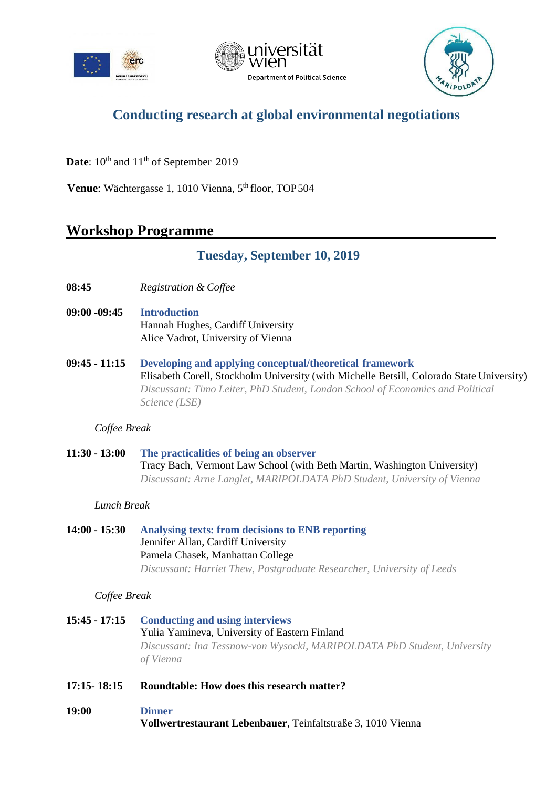





# **Conducting research at global environmental negotiations**

Date:  $10^{th}$  and  $11^{th}$  of September 2019

Venue: Wächtergasse 1, 1010 Vienna, 5<sup>th</sup> floor, TOP 504

## **Workshop Programme**

| <b>Tuesday, September 10, 2019</b> |  |
|------------------------------------|--|
|                                    |  |

- **08:45** *Registration & Coffee*
- **09:00 -09:45 Introduction** Hannah Hughes, Cardiff University Alice Vadrot, University of Vienna
- **09:45 - 11:15 Developing and applying conceptual/theoretical framework** Elisabeth Corell, Stockholm University (with Michelle Betsill, Colorado State University) *Discussant: Timo Leiter, PhD Student, London School of Economics and Political Science (LSE)*

*Coffee Break*

**11:30 - 13:00 The practicalities of being an observer** Tracy Bach, Vermont Law School (with Beth Martin, Washington University) *Discussant: Arne Langlet, MARIPOLDATA PhD Student, University of Vienna*

### *Lunch Break*

**14:00 - 15:30 Analysing texts: from decisions to ENB reporting** Jennifer Allan, Cardiff University Pamela Chasek, Manhattan College *Discussant: Harriet Thew, Postgraduate Researcher, University of Leeds*

### *Coffee Break*

- **15:45 - 17:15 Conducting and using interviews** Yulia Yamineva, University of Eastern Finland *Discussant: Ina Tessnow-von Wysocki, MARIPOLDATA PhD Student, University of Vienna*
- **17:15- 18:15 Roundtable: How does this research matter?**

### **19:00 Dinner**

**Vollwertrestaurant Lebenbauer**, Teinfaltstraße 3, 1010 Vienna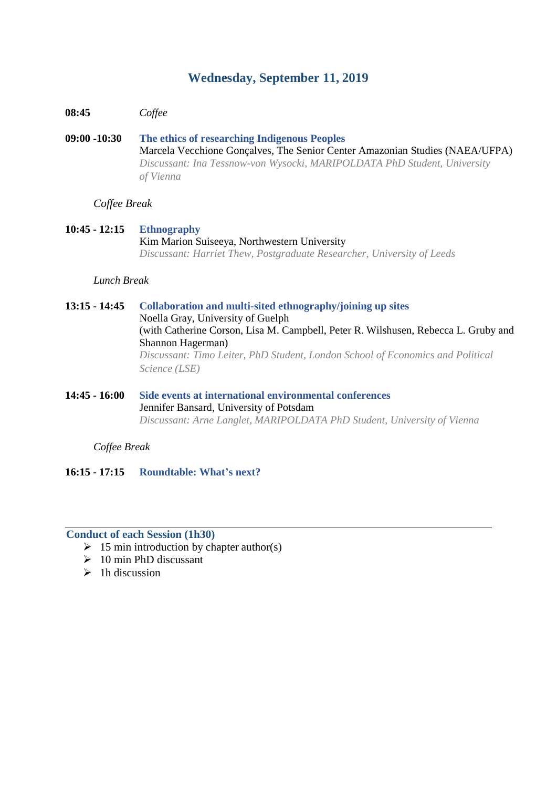### **Wednesday, September 11, 2019**

**08:45** *Coffee*

**09:00 -10:30 The ethics of researching Indigenous Peoples** Marcela Vecchione Gonçalves, The Senior Center Amazonian Studies (NAEA/UFPA) *Discussant: Ina Tessnow-von Wysocki, MARIPOLDATA PhD Student, University of Vienna*

### *Coffee Break*

**10:45 - 12:15 Ethnography** Kim Marion Suiseeya, Northwestern University *Discussant: Harriet Thew, Postgraduate Researcher, University of Leeds*

### *Lunch Break*

**13:15 - 14:45 Collaboration and multi-sited ethnography/joining up sites** Noella Gray, University of Guelph (with Catherine Corson, Lisa M. Campbell, Peter R. Wilshusen, Rebecca L. Gruby and Shannon Hagerman) *Discussant: Timo Leiter, PhD Student, London School of Economics and Political Science (LSE)*

**14:45 - 16:00 Side events at international environmental conferences** Jennifer Bansard, University of Potsdam *Discussant: Arne Langlet, MARIPOLDATA PhD Student, University of Vienna*

*Coffee Break* 

**16:15 - 17:15 Roundtable: What's next?**

#### **Conduct of each Session (1h30)**

- $\geq 15$  min introduction by chapter author(s)
- $\geq 10$  min PhD discussant
- $\geq 1$ h discussion